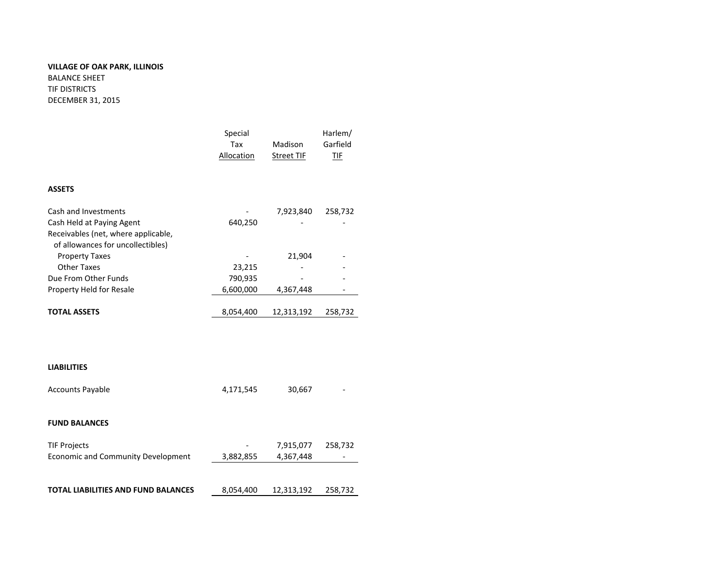## **VILLAGE OF OAK PARK, ILLINOIS** BALANCE SHEET

TIF DISTRICTS DECEMBER 31, 2015

|                                                                                                       | Special<br>Tax<br><b>Allocation</b> | Madison<br><b>Street TIF</b> | Harlem/<br>Garfield<br>IIF |
|-------------------------------------------------------------------------------------------------------|-------------------------------------|------------------------------|----------------------------|
| <b>ASSETS</b>                                                                                         |                                     |                              |                            |
| Cash and Investments                                                                                  |                                     | 7,923,840                    | 258,732                    |
| Cash Held at Paying Agent<br>Receivables (net, where applicable,<br>of allowances for uncollectibles) | 640,250                             |                              |                            |
| <b>Property Taxes</b>                                                                                 |                                     | 21,904                       |                            |
| <b>Other Taxes</b>                                                                                    | 23,215                              |                              |                            |
| Due From Other Funds                                                                                  | 790,935                             |                              |                            |
| Property Held for Resale                                                                              | 6,600,000                           | 4,367,448                    |                            |
| <b>TOTAL ASSETS</b>                                                                                   | 8,054,400                           | 12,313,192                   | 258,732                    |
|                                                                                                       |                                     |                              |                            |
| <b>LIABILITIES</b>                                                                                    |                                     |                              |                            |
| <b>Accounts Payable</b>                                                                               | 4,171,545                           | 30,667                       |                            |
| <b>FUND BALANCES</b>                                                                                  |                                     |                              |                            |
| <b>TIF Projects</b>                                                                                   |                                     | 7,915,077                    | 258,732                    |
| <b>Economic and Community Development</b>                                                             | 3,882,855                           | 4,367,448                    |                            |
|                                                                                                       |                                     |                              |                            |
| TOTAL LIABILITIES AND FUND BALANCES                                                                   | 8,054,400                           | 12,313,192                   | 258,732                    |